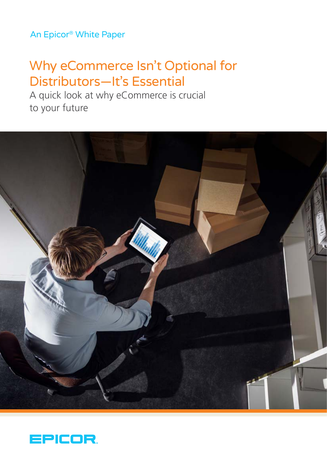# An Epicor® White Paper

# Why eCommerce Isn't Optional for Distributors—It's Essential

A quick look at why eCommerce is crucial to your future



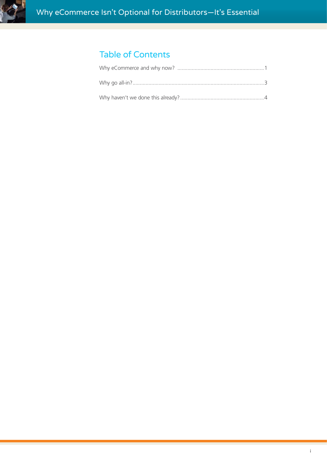

# Table of Contents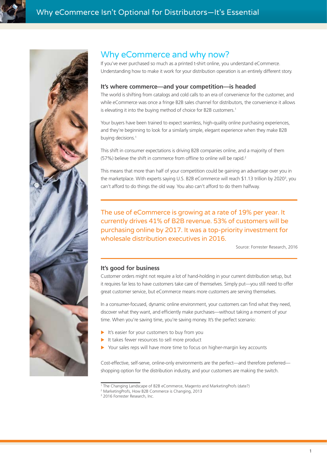<span id="page-2-0"></span>



## Why eCommerce and why now?

If you've ever purchased so much as a printed t-shirt online, you understand eCommerce. Understanding how to make it work for your distribution operation is an entirely different story.

#### **It's where commerce—and your competition—is headed**

The world is shifting from catalogs and cold calls to an era of convenience for the customer, and while eCommerce was once a fringe B2B sales channel for distributors, the convenience it allows is elevating it into the buying method of choice for B2B customers.<sup>1</sup>

Your buyers have been trained to expect seamless, high-quality online purchasing experiences, and they're beginning to look for a similarly simple, elegant experience when they make B2B buying decisions.<sup>1</sup>

This shift in consumer expectations is driving B2B companies online, and a majority of them (57%) believe the shift in commerce from offline to online will be rapid.<sup>2</sup>

This means that more than half of your competition could be gaining an advantage over you in the marketplace. With experts saying U.S. B2B eCommerce will reach \$1.13 trillion by 2020<sup>3</sup>, you can't afford to do things the old way. You also can't afford to do them halfway.

The use of eCommerce is growing at a rate of 19% per year. It currently drives 41% of B2B revenue. 53% of customers will be purchasing online by 2017. It was a top-priority investment for wholesale distribution executives in 2016.

Source: Forrester Research, 2016

#### **It's good for business**

Customer orders might not require a lot of hand-holding in your current distribution setup, but it requires far less to have customers take care of themselves. Simply put—you still need to offer great customer service, but eCommerce means more customers are serving themselves.

In a consumer-focused, dynamic online environment, your customers can find what they need, discover what they want, and efficiently make purchases—without taking a moment of your time. When you're saving time, you're saving money. It's the perfect scenario:

- $\blacktriangleright$  It's easier for your customers to buy from you
- It takes fewer resources to sell more product
- Your sales reps will have more time to focus on higher-margin key accounts

Cost-effective, self-serve, online-only environments are the perfect—and therefore preferred shopping option for the distribution industry, and your customers are making the switch.

<sup>1</sup> The Changing Landscape of B2B eCommerce, Magento and MarketingProfs (date?)

<sup>2</sup> MarketingProfs, How B2B Commerce is Changing, 2013

<sup>&</sup>lt;sup>3</sup> 2016 Forrester Research, Inc.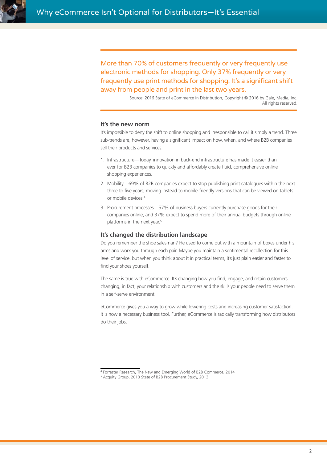More than 70% of customers frequently or very frequently use electronic methods for shopping. Only 37% frequently or very frequently use print methods for shopping. It's a significant shift away from people and print in the last two years.

> Source: 2016 State of eCommerce in Distribution, Copyright © 2016 by Gale, Media, Inc. All rights reserved.

#### **It's the new norm**

It's impossible to deny the shift to online shopping and irresponsible to call it simply a trend. Three sub-trends are, however, having a significant impact on how, when, and where B2B companies sell their products and services.

- 1. Infrastructure—Today, innovation in back-end infrastructure has made it easier than ever for B2B companies to quickly and affordably create fluid, comprehensive online shopping experiences.
- 2. Mobility—69% of B2B companies expect to stop publishing print catalogues within the next three to five years, moving instead to mobile-friendly versions that can be viewed on tablets or mobile devices<sup>4</sup>
- 3. Procurement processes—57% of business buyers currently purchase goods for their companies online, and 37% expect to spend more of their annual budgets through online platforms in the next year.<sup>5</sup>

#### **It's changed the distribution landscape**

Do you remember the shoe salesman? He used to come out with a mountain of boxes under his arms and work you through each pair. Maybe you maintain a sentimental recollection for this level of service, but when you think about it in practical terms, it's just plain easier and faster to find your shoes yourself.

The same is true with eCommerce. It's changing how you find, engage, and retain customers changing, in fact, your relationship with customers and the skills your people need to serve them in a self-serve environment.

eCommerce gives you a way to grow while lowering costs and increasing customer satisfaction. It is now a necessary business tool. Further, eCommerce is radically transforming how distributors do their jobs.

<sup>4</sup> Forrester Research, The New and Emerging World of B2B Commerce, 2014

<sup>5</sup> Acquity Group, 2013 State of B2B Procurement Study, 2013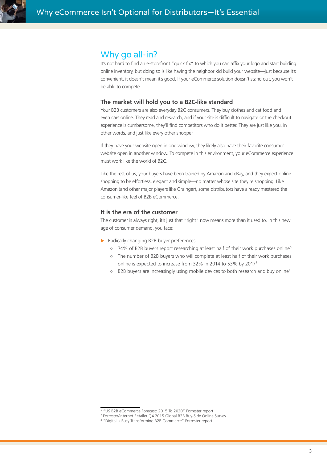<span id="page-4-0"></span>

### Why go all-in?

It's not hard to find an e-storefront "quick fix" to which you can affix your logo and start building online inventory, but doing so is like having the neighbor kid build your website—just because it's convenient, it doesn't mean it's good. If your eCommerce solution doesn't stand out, you won't be able to compete.

#### **The market will hold you to a B2C-like standard**

Your B2B customers are also everyday B2C consumers. They buy clothes and cat food and even cars online. They read and research, and if your site is difficult to navigate or the checkout experience is cumbersome, they'll find competitors who do it better. They are just like you, in other words, and just like every other shopper.

If they have your website open in one window, they likely also have their favorite consumer website open in another window. To compete in this environment, your eCommerce experience must work like the world of B2C.

Like the rest of us, your buyers have been trained by Amazon and eBay, and they expect online shopping to be effortless, elegant and simple—no matter whose site they're shopping. Like Amazon (and other major players like Grainger), some distributors have already mastered the consumer-like feel of B2B eCommerce.

#### **It is the era of the customer**

The customer is always right, it's just that "right" now means more than it used to. In this new age of consumer demand, you face:

- $\triangleright$  Radically changing B2B buyer preferences
	- 74% of B2B buyers report researching at least half of their work purchases online<sup>6</sup>
	- The number of B2B buyers who will complete at least half of their work purchases online is expected to increase from 32% in 2014 to 53% by 20177
	- B2B buyers are increasingly using mobile devices to both research and buy online<sup>8</sup>

<sup>6</sup> "US B2B eCommerce Forecast: 2015 To 2020" Forrester report

<sup>7</sup> Forrester/Internet Retailer Q4 2015 Global B2B Buy-Side Online Survey

<sup>8</sup> "Digital Is Busy Transforming B2B Commerce" Forrester report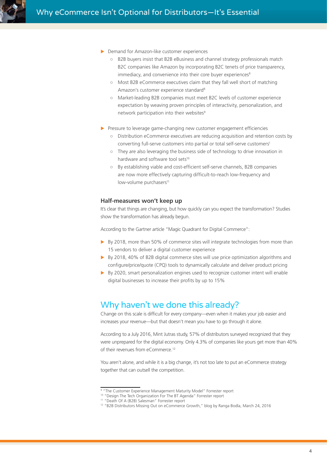<span id="page-5-0"></span>

- $\triangleright$  Demand for Amazon-like customer experiences
	- B2B buyers insist that B2B eBusiness and channel strategy professionals match B2C companies like Amazon by incorporating B2C tenets of price transparency, immediacy, and convenience into their core buyer experiences<sup>8</sup>
	- Most B2B eCommerce executives claim that they fall well short of matching Amazon's customer experience standard<sup>8</sup>
	- Market-leading B2B companies must meet B2C levels of customer experience expectation by weaving proven principles of interactivity, personalization, and network participation into their websites<sup>9</sup>
- Pressure to leverage game-changing new customer engagement efficiencies
	- Distribution eCommerce executives are reducing acquisition and retention costs by converting full-serve customers into partial or total self-serve customers<sup>1</sup>
	- They are also leveraging the business side of technology to drive innovation in hardware and software tool sets<sup>10</sup>
	- By establishing viable and cost-efficient self-serve channels, B2B companies are now more effectively capturing difficult-to-reach low-frequency and low-volume purchasers<sup>11</sup>

#### **Half-measures won't keep up**

It's clear that things are changing, but how quickly can you expect the transformation? Studies show the transformation has already begun.

According to the Gartner article "Magic Quadrant for Digital Commerce":

- $\triangleright$  By 2018, more than 50% of commerce sites will integrate technologies from more than 15 vendors to deliver a digital customer experience
- $\triangleright$  By 2018, 40% of B2B digital commerce sites will use price optimization algorithms and configure/price/quote (CPQ) tools to dynamically calculate and deliver product pricing
- $\triangleright$  By 2020, smart personalization engines used to recognize customer intent will enable digital businesses to increase their profits by up to 15%

### Why haven't we done this already?

Change on this scale is difficult for every company—even when it makes your job easier and increases your revenue—but that doesn't mean you have to go through it alone.

According to a July 2016, Mint Jutras study, 57% of distributors surveyed recognized that they were unprepared for the digital economy. Only 4.3% of companies like yours get more than 40% of their revenues from eCommerce.<sup>12</sup>

You aren't alone, and while it is a big change, it's not too late to put an eCommerce strategy together that can outsell the competition.

<sup>&</sup>lt;sup>9</sup> "The Customer Experience Management Maturity Model" Forrester report

<sup>10 &</sup>quot;Design The Tech Organization For The BT Agenda" Forrester report

<sup>11 &</sup>quot;Death Of A (B2B) Salesman" Forrester report

<sup>&</sup>lt;sup>12</sup> "B2B Distributors Missing Out on eCommerce Growth," blog by Ranga Bodla, March 24, 2016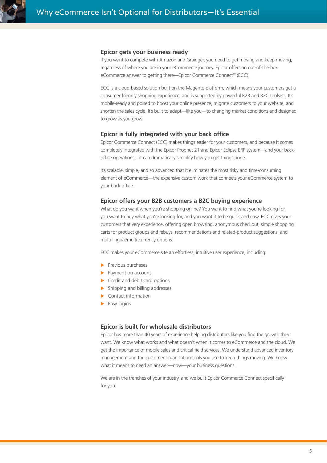

#### **Epicor gets your business ready**

If you want to compete with Amazon and Grainger, you need to get moving and keep moving, regardless of where you are in your eCommerce journey. Epicor offers an out-of-the-box eCommerce answer to getting there—Epicor Commerce Connect™ (ECC).

ECC is a cloud-based solution built on the Magento platform, which means your customers get a consumer-friendly shopping experience, and is supported by powerful B2B and B2C toolsets. It's mobile-ready and poised to boost your online presence, migrate customers to your website, and shorten the sales cycle. It's built to adapt—like you—to changing market conditions and designed to grow as you grow.

#### **Epicor is fully integrated with your back office**

Epicor Commerce Connect (ECC) makes things easier for your customers, and because it comes completely integrated with the Epicor Prophet 21 and Epicor Eclipse ERP system—and your backoffice operations—it can dramatically simiplify how you get things done.

It's scalable, simple, and so advanced that it eliminates the most risky and time-consuming element of eCommerce—the expensive custom work that connects your eCommerce system to your back office.

#### **Epicor offers your B2B customers a B2C buying experience**

What do you want when you're shopping online? You want to find what you're looking for, you want to buy what you're looking for, and you want it to be quick and easy. ECC gives your customers that very experience, offering open browsing, anonymous checkout, simple shopping carts for product groups and rebuys, recommendations and related-product suggestions, and multi-lingual/multi-currency options.

ECC makes your eCommerce site an effortless, intuitive user experience, including:

- $\blacktriangleright$  Previous purchases
- $\blacktriangleright$  Payment on account
- $\blacktriangleright$  Credit and debit card options
- $\blacktriangleright$  Shipping and billing addresses
- $\blacktriangleright$  Contact information
- $\blacktriangleright$  Easy logins

#### **Epicor is built for wholesale distributors**

Epicor has more than 40 years of experience helping distributors like you find the growth they want. We know what works and what doesn't when it comes to eCommerce and the cloud. We get the importance of mobile sales and critical field services. We understand advanced inventory management and the customer organization tools you use to keep things moving. We know what it means to need an answer—now—your business questions.

We are in the trenches of your industry, and we built Epicor Commerce Connect specifically for you.